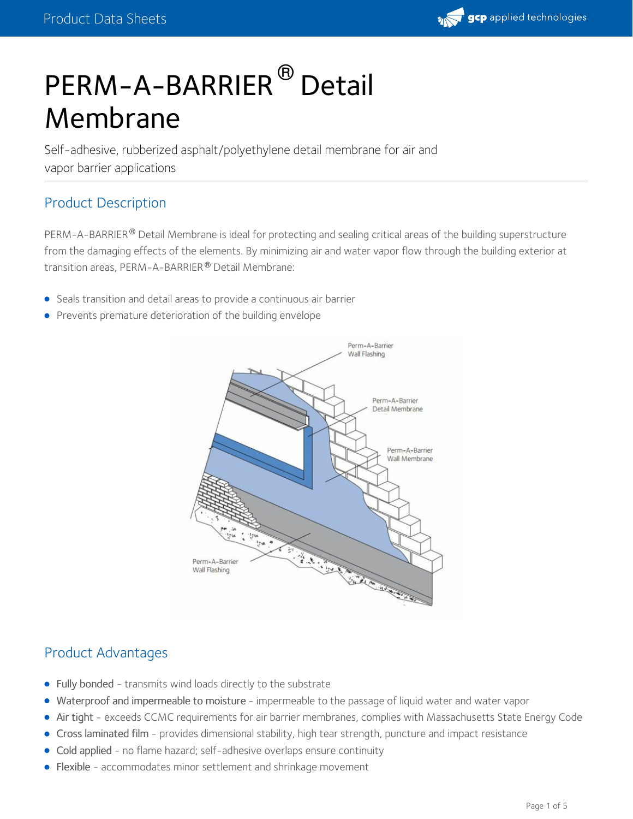

# PERM-A-BARRIER<sup>®</sup> Detail Membrane

Self-adhesive, rubberized asphalt/polyethylene detail membrane for air and vapor barrier applications

## Product Description

PERM-A-BARRIER® Detail Membrane is ideal for protecting and sealing critical areas of the building superstructure from the damaging effects of the elements. By minimizing air and water vapor flow through the building exterior at transition areas, PERM-A-BARRIER® Detail Membrane:

- Seals transition and detail areas to provide a continuous air barrier
- **•** Prevents premature deterioration of the building [envelope](https://gcpat.com/en/about/news/blog/air-barriers-an-essential-part-building-envelope)



## Product Advantages

- Fully bonded transmits wind loads directly to the substrate
- Waterproof and impermeable to moisture impermeable to the passage of liquid water and water vapor  $\bullet$
- Air tight exceeds CCMC requirements for air barrier membranes, complies with Massachusetts State Energy Code
- Cross laminated film provides dimensional stability, high tear strength, puncture and impact resistance
- Cold applied no flame hazard; self-adhesive overlaps ensure continuity
- Flexible accommodates minor settlement and shrinkage movement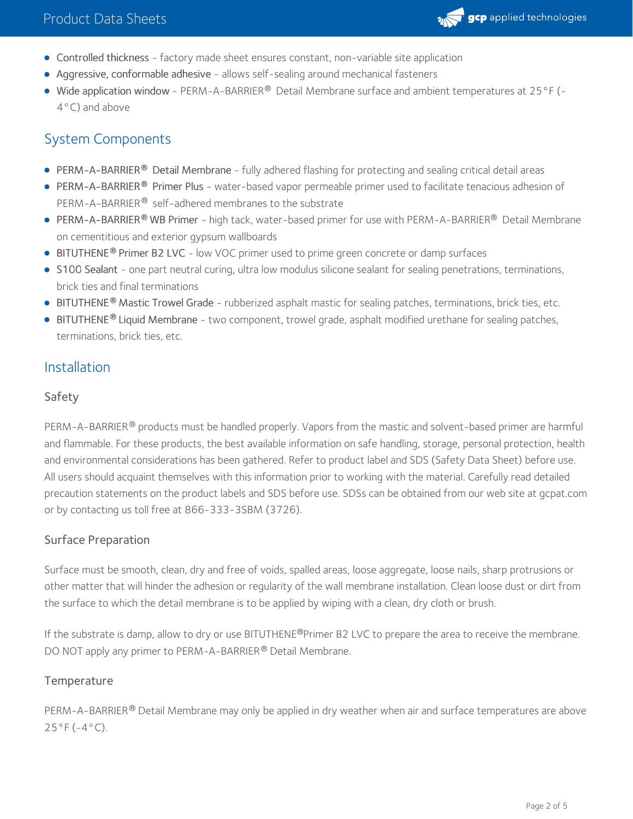

- Controlled thickness factory made sheet ensures constant, non-variable site application
- Aggressive, conformable adhesive allows self-sealing around mechanical fasteners
- Wide application window PERM-A-BARRIER® Detail Membrane surface and ambient temperatures at 25 °F (-4°C) and above

## System Components

- **PERM-A-BARRIER<sup>®</sup> Detail Membrane** fully adhered flashing for protecting and sealing critical detail areas
- [PERM-A-BARRIER](https://gcpat.com/solutions/products/perm-a-barrier-air-barrier-system/perm-a-barrier-primer-plus)® Primer Plus water-based vapor permeable primer used to facilitate tenacious adhesion of PERM-A-BARRIER® self-adhered membranes to the substrate
- [PERM-A-BARRIER](https://gcpat.com/solutions/products/perm-a-barrier-air-barrier-system/perm-a-barrier-wb-primer)® WB Primer high tack, water-based primer for use with PERM-A-BARRIER® Detail Membrane on cementitious and exterior gypsum wallboards
- **[BITUTHENE](https://gcpat.com/solutions/products/bituthene-post-applied-waterproofing/bituthene-adhesive-primer-b2-lvc)<sup>®</sup> Primer B2 LVC** low VOC primer used to prime green concrete or damp surfaces
- S100 [Sealant](https://gcpat.com/solutions/products/perm-a-barrier-air-barrier-system/perm-a-barrier-s100-sealant) one part neutral curing, ultra low modulus silicone sealant for sealing penetrations, terminations, brick ties and final terminations
- **[BITUTHENE](https://gcpat.com/solutions/products/bituthene-post-applied-waterproofing/bituthene-mastic)<sup>®</sup> Mastic Trowel Grade rubberized asphalt mastic for sealing patches, terminations, brick ties, etc.**
- [BITUTHENE](https://gcpat.com/solutions/products/bituthene-post-applied-waterproofing/bituthene-liquid-membrane)® Liquid Membrane two component, trowel grade, asphalt modified urethane for sealing patches, terminations, brick ties, etc.

### Installation

#### Safety

PERM-A-BARRIER® products must be handled properly. Vapors from the mastic and solvent-based primer are harmful and flammable. For these products, the best available information on safe handling, storage, personal protection, health and environmental considerations has been gathered. Refer to product label and SDS (Safety Data Sheet) before use. All users should acquaint themselves with this information prior to working with the material. Carefully read detailed precaution statements on the product labels and SDS before use. SDSs can be obtained from our web site at gcpat.com or by contacting us toll free at 866-333-3SBM (3726).

#### Surface Preparation

Surface must be smooth, clean, dry and free of voids, spalled areas, loose aggregate, loose nails, sharp protrusions or other matter that will hinder the adhesion or regularity of the wall membrane installation. Clean loose dust or dirt from the surface to which the detail membrane is to be applied by wiping with a clean, dry cloth or brush.

If the substrate is damp, allow to dry or use BITUTHENE®Primer B2 LVC to prepare the area to receive the membrane. DO NOT apply any primer to PERM-A-BARRIER® Detail Membrane.

#### **Temperature**

PERM-A-BARRIER® Detail Membrane may only be applied in dry weather when air and surface temperatures are above 25°F (-4°C).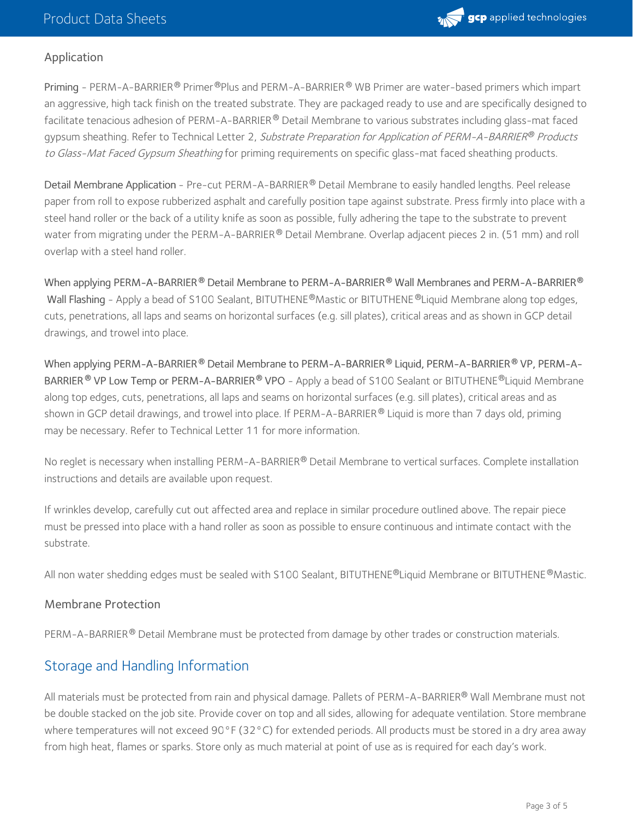

#### Application

Priming - PERM-A-BARRIER® Primer®Plus and PERM-A-BARRIER® WB Primer are water-based primers which impart an aggressive, high tack finish on the treated substrate. They are packaged ready to use and are specifically designed to facilitate tenacious adhesion of PERM-A-BARRIER $^\circledR$  Detail Membrane to various substrates including glass-mat faced gypsum sheathing. Refer to Technical Letter 2, *Substrate Preparation for Application of PERM-A-BARRIER® Products* to Glass-Mat Faced Gypsum Sheathing for priming requirements on specific glass-mat faced sheathing products.

Detail Membrane Application - Pre-cut PERM-A-BARRIER® Detail Membrane to easily handled lengths. Peel release paper from roll to expose rubberized asphalt and carefully position tape against substrate. Press firmly into place with a steel hand roller or the back of a utility knife as soon as possible, fully adhering the tape to the substrate to prevent water from migrating under the PERM-A-BARRIER  $^\circledR$  Detail Membrane. Overlap adjacent pieces 2 in. (51 mm) and roll overlap with a steel hand roller.

 $\blacksquare$  When applying PERM–A–BARRIER  $^\text{\textregistered}$  Detail Membrane to PERM–A–BARRIER  $^\text{\textregistered}$  Wall Membranes and PERM–A–BARRIER  $^\text{\textregistered}$ Wall Flashing - Apply a bead of S100 Sealant, BITUTHENE®Mastic or BITUTHENE®Liquid Membrane along top edges, cuts, penetrations, all laps and seams on horizontal surfaces (e.g. sill plates), critical areas and as shown in GCP detail drawings, and trowel into place.

When applying PERM-A-BARRIER Detail Membrane to PERM-A-BARRIER Liquid, PERM-A-BARRIER VP, PERM-A- **® ® ®** BARRIER ® VP Low Temp or PERM-A-BARRIER ® VPO - Apply a bead of S100 Sealant or BITUTHENE ®Liquid Membrane along top edges, cuts, penetrations, all laps and seams on horizontal surfaces (e.g. sill plates), critical areas and as shown in GCP detail drawings, and trowel into place. If PERM-A-BARRIER  $^\circledR$  Liquid is more than 7 days old, priming may be necessary. Refer to Technical Letter 11 for more information.

No reglet is necessary when installing PERM-A-BARRIER® Detail Membrane to vertical surfaces. Complete installation instructions and details are available upon request.

If wrinkles develop, carefully cut out affected area and replace in similar procedure outlined above. The repair piece must be pressed into place with a hand roller as soon as possible to ensure continuous and intimate contact with the substrate.

All non water shedding edges must be sealed with S100 Sealant, BITUTHENE®Liquid Membrane or BITUTHENE®Mastic.

#### Membrane Protection

PERM-A-BARRIER® Detail Membrane must be protected from damage by other trades or construction materials.

## Storage and Handling Information

All materials must be protected from rain and physical damage. Pallets of PERM-A-BARRIER® Wall Membrane must not be double stacked on the job site. Provide cover on top and all sides, allowing for adequate ventilation. Store membrane where temperatures will not exceed 90°F (32°C) for extended periods. All products must be stored in a dry area away from high heat, flames or sparks. Store only as much material at point of use as is required for each day's work.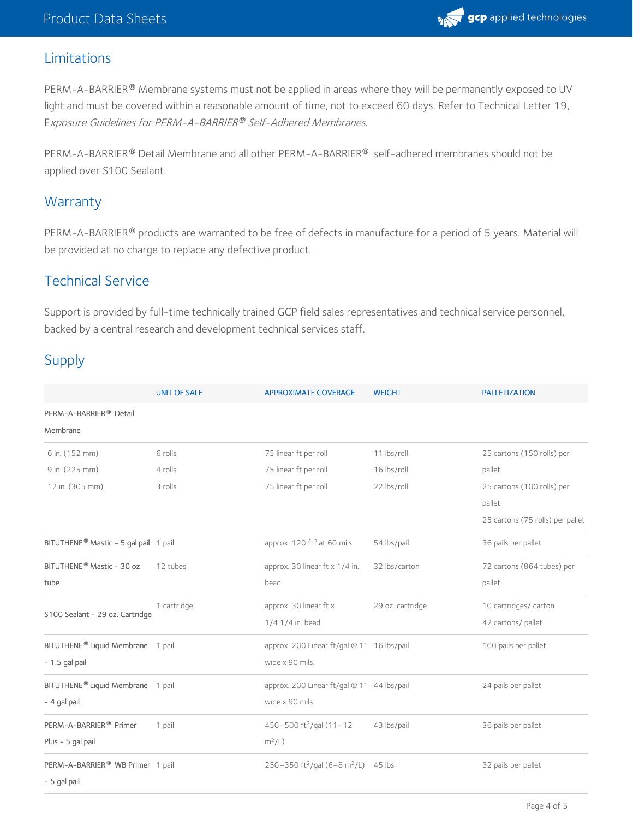

## Limitations

PERM-A-BARRIER® Membrane systems must not be applied in areas where they will be permanently exposed to UV light and must be covered within a reasonable amount of time, not to exceed 60 days. Refer to Technical Letter 19, E*xposure Guidelines for PERM-A-BARRIER® Self-Adhered Membranes.* 

PERM-A-BARRIER® Detail Membrane and all other PERM-A-BARRIER® self-adhered membranes should not be applied over S100 Sealant.

## **Warranty**

PERM-A-BARRIER® products are warranted to be free of defects in manufacture for a period of 5 years. Material will be provided at no charge to replace any defective product.

## Technical Service

Support is provided by full-time technically trained GCP field sales representatives and technical service personnel, backed by a central research and development technical services staff.

## Supply

|                                               | <b>UNIT OF SALE</b> | <b>APPROXIMATE COVERAGE</b>                          | <b>WEIGHT</b>    | <b>PALLETIZATION</b>             |
|-----------------------------------------------|---------------------|------------------------------------------------------|------------------|----------------------------------|
| PERM-A-BARRIER <sup>®</sup> Detail            |                     |                                                      |                  |                                  |
| Membrane                                      |                     |                                                      |                  |                                  |
| 6 in. (152 mm)                                | 6 rolls             | 75 linear ft per roll                                | 11 lbs/roll      | 25 cartons (150 rolls) per       |
| 9 in. (225 mm)                                | 4 rolls             | 75 linear ft per roll                                | 16 lbs/roll      | pallet                           |
| 12 in. (305 mm)                               | 3 rolls             | 75 linear ft per roll                                | 22 lbs/roll      | 25 cartons (100 rolls) per       |
|                                               |                     |                                                      |                  | pallet                           |
|                                               |                     |                                                      |                  | 25 cartons (75 rolls) per pallet |
| BITUTHENE® Mastic - 5 gal pail 1 pail         |                     | approx. 120 ft <sup>2</sup> at 60 mils               | 54 lbs/pail      | 36 pails per pallet              |
| BITUTHENE® Mastic - 30 oz                     | 12 tubes            | approx. 30 linear ft x 1/4 in.                       | 32 lbs/carton    | 72 cartons (864 tubes) per       |
| tube                                          |                     | bead                                                 |                  | pallet                           |
| S100 Sealant - 29 oz. Cartridge               | 1 cartridge         | approx. 30 linear ft x                               | 29 oz. cartridge | 10 cartridges/ carton            |
|                                               |                     | 1/4 1/4 in. bead                                     |                  | 42 cartons/ pallet               |
| BITUTHENE <sup>®</sup> Liquid Membrane 1 pail |                     | approx. 200 Linear ft/gal @ 1" 16 lbs/pail           |                  | 100 pails per pallet             |
| $-1.5$ gal pail                               |                     | wide x 90 mils.                                      |                  |                                  |
| BITUTHENE <sup>®</sup> Liquid Membrane 1 pail |                     | approx. 200 Linear ft/gal @ 1" 44 lbs/pail           |                  | 24 pails per pallet              |
| - 4 gal pail                                  |                     | wide x 90 mils.                                      |                  |                                  |
| PERM-A-BARRIER <sup>®</sup> Primer            | 1 pail              | 450-500 ft <sup>2</sup> /gal (11-12                  | 43 lbs/pail      | 36 pails per pallet              |
| Plus - 5 gal pail                             |                     | $m^2/L$ )                                            |                  |                                  |
| PERM-A-BARRIER® WB Primer 1 pail              |                     | 250-350 ft <sup>2</sup> /gal (6-8 m <sup>2</sup> /L) | 45 lbs           | 32 pails per pallet              |
| - 5 gal pail                                  |                     |                                                      |                  |                                  |